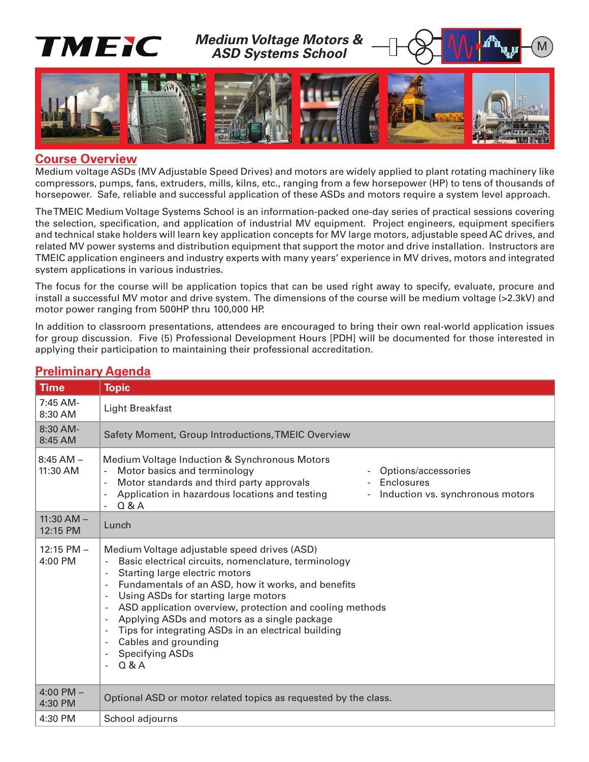

#### **Course Overview**

Medium voltage ASDs (MV Adjustable Speed Drives) and motors are widely applied to plant rotating machinery like compressors, pumps, fans, extruders, mills, kilns, etc., ranging from a few horsepower (HP) to tens of thousands of horsepower. Safe, reliable and successful application of these ASDs and motors require a system level approach.

The TMEIC Medium Voltage Systems School is an information-packed one-day series of practical sessions covering the selection, specification, and application of industrial MV equipment. Project engineers, equipment specifiers and technical stake holders will learn key application concepts for MV large motors, adjustable speed AC drives, and related MV power systems and distribution equipment that support the motor and drive installation. Instructors are TMEIC application engineers and industry experts with many years' experience in MV drives, motors and integrated system applications in various industries.

The focus for the course will be application topics that can be used right away to specify, evaluate, procure and install a successful MV motor and drive system. The dimensions of the course will be medium voltage (>2.3kV) and motor power ranging from 500HP thru 100,000 HP.

In addition to classroom presentations, attendees are encouraged to bring their own real-world application issues for group discussion. Five (5) Professional Development Hours [PDH] will be documented for those interested in applying their participation to maintaining their professional accreditation.

| <u>і тепнішагу дусниа</u>  |                                                                                                                                                                                                                                                                                                                                                                                                                                                                                                                                                                                  |
|----------------------------|----------------------------------------------------------------------------------------------------------------------------------------------------------------------------------------------------------------------------------------------------------------------------------------------------------------------------------------------------------------------------------------------------------------------------------------------------------------------------------------------------------------------------------------------------------------------------------|
| <b>Time</b>                | <b>Topic</b>                                                                                                                                                                                                                                                                                                                                                                                                                                                                                                                                                                     |
| 7:45 AM-<br>8:30 AM        | <b>Light Breakfast</b>                                                                                                                                                                                                                                                                                                                                                                                                                                                                                                                                                           |
| 8:30 AM-<br>8:45 AM        | Safety Moment, Group Introductions, TMEIC Overview                                                                                                                                                                                                                                                                                                                                                                                                                                                                                                                               |
| $8:45$ AM $-$<br>11:30 AM  | Medium Voltage Induction & Synchronous Motors<br>Motor basics and terminology<br>Options/accessories<br>Motor standards and third party approvals<br><b>Enclosures</b><br>Application in hazardous locations and testing<br>Induction vs. synchronous motors<br>$\overline{\phantom{a}}$<br>Q & A                                                                                                                                                                                                                                                                                |
| $11:30$ AM $-$<br>12:15 PM | Lunch                                                                                                                                                                                                                                                                                                                                                                                                                                                                                                                                                                            |
| $12:15$ PM $-$<br>4:00 PM  | Medium Voltage adjustable speed drives (ASD)<br>Basic electrical circuits, nomenclature, terminology<br>Starting large electric motors<br>$\blacksquare$<br>Fundamentals of an ASD, how it works, and benefits<br>Using ASDs for starting large motors<br>ASD application overview, protection and cooling methods<br>$\blacksquare$<br>Applying ASDs and motors as a single package<br>$\blacksquare$<br>Tips for integrating ASDs in an electrical building<br>$\overline{\phantom{a}}$<br>Cables and grounding<br><b>Specifying ASDs</b><br>$\overline{\phantom{a}}$<br>Q & A |
| 4:00 PM $-$<br>4:30 PM     | Optional ASD or motor related topics as requested by the class.                                                                                                                                                                                                                                                                                                                                                                                                                                                                                                                  |
| 4:30 PM                    | School adjourns                                                                                                                                                                                                                                                                                                                                                                                                                                                                                                                                                                  |

# **Preliminary Agenda**